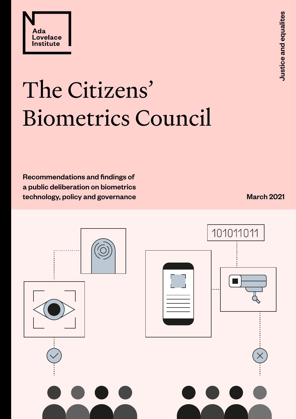

# The Citizens' Biometrics Council

Recommendations and findings of a public deliberation on biometrics technology, policy and governance

March 2021

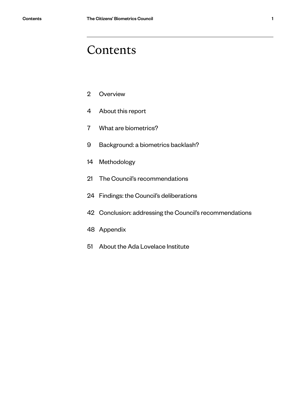### Contents

- [Overview](#page-2-0)
- [About this report](#page-4-0)
- [What are biometrics?](#page-7-0)
- [Background: a](#page-9-0) biometrics backlash?
- [Methodology](#page-14-0)
- [The Council's recommendations](#page-21-0)
- [Findings: the Council's](#page-24-0) deliberations
- [Conclusion: addressing the Council's recommendations](#page-42-0)
- [Appendix](#page-48-0)
- [About the Ada Lovelace Institute](#page-51-0)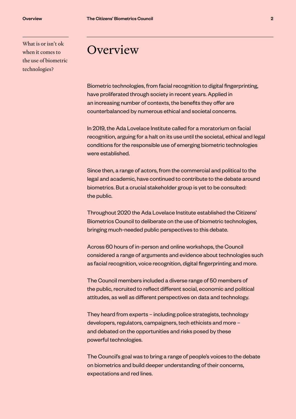<span id="page-2-0"></span>What is or isn't ok when it comes to the use of biometric technologies?

### **Overview**

Biometric technologies, from facial recognition to digital fingerprinting, have proliferated through society in recent years. Applied in an increasing number of contexts, the benefits they offer are counterbalanced by numerous ethical and societal concerns.

In 2019, the Ada Lovelace Institute called for a moratorium on facial recognition, arguing for a halt on its use until the societal, ethical and legal conditions for the responsible use of emerging biometric technologies were established.

Since then, a range of actors, from the commercial and political to the legal and academic, have continued to contribute to the debate around biometrics. But a crucial stakeholder group is yet to be consulted: the public.

Throughout 2020 the Ada Lovelace Institute established the Citizens' Biometrics Council to deliberate on the use of biometric technologies, bringing much-needed public perspectives to this debate.

Across 60 hours of in-person and online workshops, the Council considered a range of arguments and evidence about technologies such as facial recognition, voice recognition, digital fingerprinting and more.

The Council members included a diverse range of 50 members of the public, recruited to reflect different social, economic and political attitudes, as well as different perspectives on data and technology.

They heard from experts – including police strategists, technology developers, regulators, campaigners, tech ethicists and more – and debated on the opportunities and risks posed by these powerful technologies.

The Council's goal was to bring a range of people's voices to the debate on biometrics and build deeper understanding of their concerns, expectations and red lines.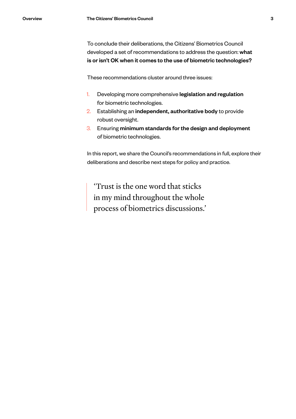To conclude their deliberations, the Citizens' Biometrics Council developed a set of recommendations to address the question: what is or isn't OK when it comes to the use of biometric technologies?

These recommendations cluster around three issues:

- 1. Developing more comprehensive legislation and regulation for biometric technologies.
- 2. Establishing an independent, authoritative body to provide robust oversight.
- 3. Ensuring minimum standards for the design and deployment of biometric technologies.

In this report, we share the Council's recommendations in full, explore their deliberations and describe next steps for policy and practice.

'Trust is the one word that sticks in my mind throughout the whole process of biometrics discussions.'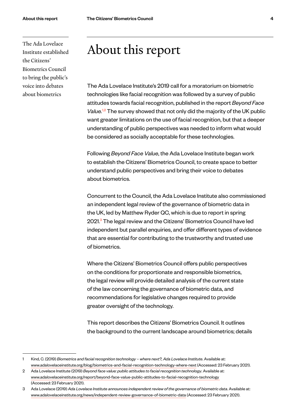<span id="page-4-0"></span>The Ada Lovelace Institute established the Citizens' Biometrics Council to bring the public's voice into debates about biometrics

## About this report

The Ada Lovelace Institute's 2019 call for a moratorium on biometric technologies like facial recognition was followed by a survey of public attitudes towards facial recognition, published in the report *Beyond Face Value.*1,2 The survey showed that not only did the majority of the UK public want greater limitations on the use of facial recognition, but that a deeper understanding of public perspectives was needed to inform what would be considered as socially acceptable for these technologies.

Following *Beyond Face Value*, the Ada Lovelace Institute began work to establish the Citizens' Biometrics Council, to create space to better understand public perspectives and bring their voice to debates about biometrics.

Concurrent to the Council, the Ada Lovelace Institute also commissioned an independent legal review of the governance of biometric data in the UK, led by Matthew Ryder QC, which is due to report in spring 2021.<sup>3</sup> The legal review and the Citizens' Biometrics Council have led independent but parallel enquiries, and offer different types of evidence that are essential for contributing to the trustworthy and trusted use of biometrics.

Where the Citizens' Biometrics Council offers public perspectives on the conditions for proportionate and responsible biometrics, the legal review will provide detailed analysis of the current state of the law concerning the governance of biometric data, and recommendations for legislative changes required to provide greater oversight of the technology.

This report describes the Citizens' Biometrics Council. It outlines the background to the current landscape around biometrics; details

<sup>1</sup> Kind, C. (2019) *Biometrics and facial recognition technology – where next?, Ada Lovelace Institute*. Available at: [www.adalovelaceinstitute.org/blog/biometrics-and-facial-recognition-technology-where-next](https://www.adalovelaceinstitute.org/blog/biometrics-and-facial-recognition-technology-where-next/) (Accessed: 23 February 2021).

<sup>2</sup> Ada Lovelace Institute (2019) *Beyond face value: public attitudes to facial recognition technology*. Available at: www.adalovelaceinstitute.org/report/beyond-face-value-public-attitudes-to-facial-recognition-technology (Accessed: 23 February 2021).

<sup>3</sup> Ada Lovelace (2019) *Ada Lovelace Institute announces independent review of the governance of biometric data*. Available at: [www.adalovelaceinstitute.org/news/independent-review-governance-of-biometric-data](https://www.adalovelaceinstitute.org/news/independent-review-governance-of-biometric-data/) (Accessed: 23 February 2021).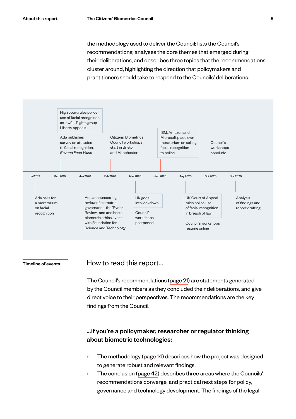the methodology used to deliver the Council; lists the Council's recommendations; analyses the core themes that emerged during their deliberations; and describes three topics that the recommendations cluster around, highlighting the direction that policymakers and practitioners should take to respond to the Councils' deliberations.



#### Timeline of events

#### How to read this report…

The Council's recommendations [\(page 21](#page-21-0)) are statements generated by the Council members as they concluded their deliberations, and give direct voice to their perspectives. The recommendations are the key findings from the Council.

#### …if you're a policymaker, researcher or regulator thinking about biometric technologies:

- The methodology ([page 14](#page-14-0)) describes how the project was designed to generate robust and relevant findings.
- The conclusion [\(page 42](#page-42-0)) describes three areas where the Councils' recommendations converge, and practical next steps for policy, governance and technology development. The findings of the legal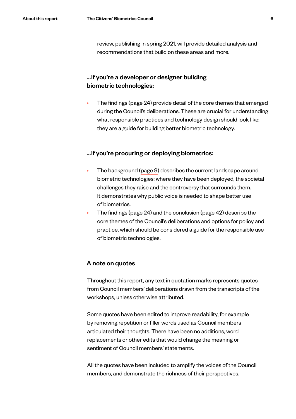review, publishing in spring 2021, will provide detailed analysis and recommendations that build on these areas and more.

#### …if you're a developer or designer building biometric technologies:

• The findings [\(page 24](#page-24-0)) provide detail of the core themes that emerged during the Council's deliberations. These are crucial for understanding what responsible practices and technology design should look like: they are a guide for building better biometric technology.

#### …if you're procuring or deploying biometrics:

- The background [\(page 9\)](#page-9-0) describes the current landscape around biometric technologies; where they have been deployed, the societal challenges they raise and the controversy that surrounds them. It demonstrates why public voice is needed to shape better use of biometrics.
- The findings [\(page 24](#page-24-0)) and the conclusion ([page 42](#page-42-0)) describe the core themes of the Council's deliberations and options for policy and practice, which should be considered a guide for the responsible use of biometric technologies.

#### A note on quotes

Throughout this report, any text in quotation marks represents quotes from Council members' deliberations drawn from the transcripts of the workshops, unless otherwise attributed.

Some quotes have been edited to improve readability, for example by removing repetition or filler words used as Council members articulated their thoughts. There have been no additions, word replacements or other edits that would change the meaning or sentiment of Council members' statements.

All the quotes have been included to amplify the voices of the Council members, and demonstrate the richness of their perspectives.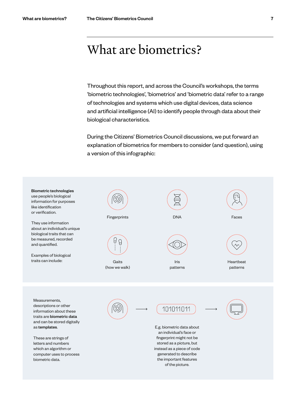# <span id="page-7-0"></span>What are biometrics?

Throughout this report, and across the Council's workshops, the terms 'biometric technologies', 'biometrics' and 'biometric data' refer to a range of technologies and systems which use digital devices, data science and artificial intelligence (AI) to identify people through data about their biological characteristics.

During the Citizens' Biometrics Council discussions, we put forward an explanation of biometrics for members to consider (and question), using a version of this infographic:

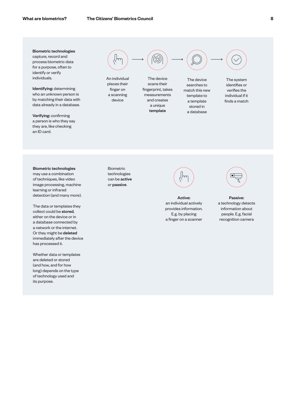Biometric technologies capture, record and process biometric data for a purpose, often to identify or verify individuals.

Identifying: determining who an unknown person is by matching their data with data already in a database.

Verifying: confirming a person is who they say they are, like checking an ID card.



An individual places their finger on a scanning device

The device scans their fingerprint, takes measurements and creates a unique

template

The device searches to match this new template to a template stored in a database

The system identifies or verifies the individual if it finds a match

Biometric technologies may use a combination of techniques, like video image processing, machine learning or infrared detection (and many more).

The data or templates they collect could be stored, either on the device or in a database connected by a network or the internet. Or they might be deleted immediately after the device has processed it.

Whether data or templates are deleted or stored (and how, and for how long) depends on the type of technology used and its purpose.

Biometric technologies can be active or passive.



Active: an individual actively provides information. E.g. by placing a finger on a scanner



Passive: a technology detects information about people. E.g. facial recognition camera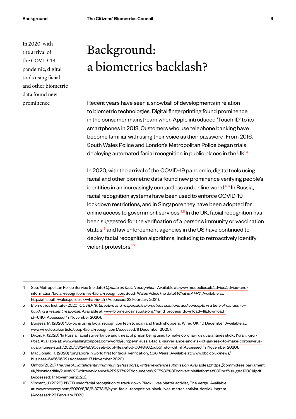<span id="page-9-0"></span>In 2020, with the arrival of the COVID-19 pandemic, digital tools using facial and other biometric data found new prominence

# Background: a biometrics backlash?

Recent years have seen a snowball of developments in relation to biometric technologies. Digital fingerprinting found prominence in the consumer mainstream when Apple introduced 'Touch ID' to its smartphones in 2013. Customers who use telephone banking have become familiar with using their voice as their password. From 2016, South Wales Police and London's Metropolitan Police began trials deploying automated facial recognition in public places in the UK.<sup>4</sup>

In 2020, with the arrival of the COVID-19 pandemic, digital tools using facial and other biometric data found new prominence verifying people's identities in an increasingly contactless and online world.<sup>5,6</sup> In Russia, facial recognition systems have been used to enforce COVID-19 lockdown restrictions, and in Singapore they have been adopted for online access to government services.<sup>7,8</sup> In the UK, facial recognition has been suggested for the verification of a person's immunity or vaccination status,<sup>9</sup> and law enforcement agencies in the US have continued to deploy facial recognition algorithms, including to retroactively identify violent protestors.<sup>10</sup>

<sup>4</sup> See: Metropolitan Police Service (no date) *Update on facial recognition*. Available at: [www.met.police.uk/advice/advice-and](https://www.met.police.uk/advice/advice-and-information/facial-recognition/live-facial-recognition/)[information/facial-recognition/live-facial-recognition;](https://www.met.police.uk/advice/advice-and-information/facial-recognition/live-facial-recognition/) South Wales Police (no date) *What is AFR?*. Available at: [http://afr.south-wales.police.uk/what-is-afr](http://afr.south-wales.police.uk/what-is-afr/) (Accessed: 23 February 2021).

<sup>5</sup> Biometrics Institute (2020) *COVID-19: Effective and responsible biometrics solutions and concepts in a time of pandemic– building a resilient response*. Available at: [www.biometricsinstitute.org/?smd\\_process\\_download=1&download\\_](https://www.biometricsinstitute.org/?smd_process_download=1&download_id=6110) [id=6110](https://www.biometricsinstitute.org/?smd_process_download=1&download_id=6110) (Accessed: 17 November 2020).

<sup>6</sup> Burgess, M. (2020) 'Co-op is using facial recognition tech to scan and track shoppers', Wired UK, 10 December. Available at: www.wired.co.uk/article/coop-facial-recognition (Accessed: 11 December 2020).

<sup>7</sup> Dixon, R. (2020) 'In Russia, facial surveillance and threat of prison being used to make coronavirus quarantines stick', *Washington Post*. Available at: [www.washingtonpost.com/world/europe/in-russia-facial-surveillance-and-risk-of-jail-seek-to-make-coronavirus](https://www.washingtonpost.com/world/europe/in-russia-facial-surveillance-and-risk-of-jail-seek-to-make-coronavirus-quarantines-stick/2020/03/24/a590c7e8-6dbf-11ea-a156-0048b62cdb51_story.html)[quarantines-stick/2020/03/24/a590c7e8-6dbf-11ea-a156-0048b62cdb51\\_story.html](https://www.washingtonpost.com/world/europe/in-russia-facial-surveillance-and-risk-of-jail-seek-to-make-coronavirus-quarantines-stick/2020/03/24/a590c7e8-6dbf-11ea-a156-0048b62cdb51_story.html) (Accessed: 17 November 2020).

<sup>8</sup> MacDonald, T. (2020) 'Singapore in world first for facial verification', *BBC News*. Available at: [www.bbc.co.uk/news/](https://www.bbc.co.uk/news/business-54266602) [business-54266602](https://www.bbc.co.uk/news/business-54266602) (Accessed: 17 November 2020).

<sup>9</sup> Onfido(2020)*Theroleof DigitalIdentityin ImmunityPassports,writtenevidencesubmission*.Availableat: [https://committees.parliament.](https://committees.parliament.uk/download/file/?url=%2Fwrittenevidence%2F2537%2Fdocuments%2F5286%3Fconvertiblefileformat%3Dpdf&slug=c190014pdf) [uk/downloadfile/?url=%2Fwrittenevidence%2F2537%2Fdocuments%2F5286%3Fconvertiblefileformat%3Dpdf&slug=c190014pdf](https://committees.parliament.uk/download/file/?url=%2Fwrittenevidence%2F2537%2Fdocuments%2F5286%3Fconvertiblefileformat%3Dpdf&slug=c190014pdf) (Accessed: 17 November 2020).

<sup>10</sup> Vincent, J. (2020) 'NYPD used facial recognition to track down Black Lives Matter activist, The Verge.' Available at: [www.theverge.com/2020/8/18/21373316/nypd-facial-recognition-black-lives-matter-activist-derrick-ingram](https://www.theverge.com/2020/8/18/21373316/nypd-facial-recognition-black-lives-matter-activist-derrick-ingram) (Accessed: 23 February 2021).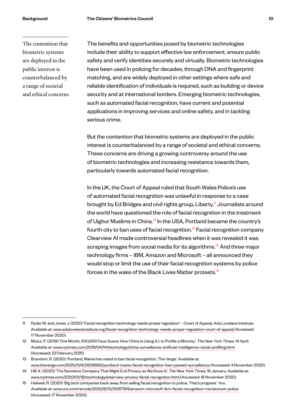The contention that biometric systems are deployed in the public interest is counterbalanced by a range of societal and ethical concerns The benefits and opportunities posed by biometric technologies include their ability to support effective law enforcement, ensure public safety and verify identities securely and virtually. Biometric technologies have been used in policing for decades, through DNA and fingerprint matching, and are widely deployed in other settings where safe and reliable identification of individuals is required, such as building or device security and at international borders. Emerging biometric technologies, such as automated facial recognition, have current and potential applications in improving services and online safety, and in tackling serious crime.

But the contention that biometric systems are deployed in the public interest is counterbalanced by a range of societal and ethical concerns. These concerns are driving a growing controversy around the use of biometric technologies and increasing resistance towards them, particularly towards automated facial recognition.

In the UK, the Court of Appeal ruled that South Wales Police's use of automated facial recognition was unlawful in response to a case brought by Ed Bridges and civil rights group, Liberty.<sup>11</sup> Journalists around the world have questioned the role of facial recognition in the treatment of Uighur Muslims in China.<sup>12</sup> In the USA, Portland became the country's fourth city to ban uses of facial recognition.<sup>13</sup> Facial recognition company Clearview AI made controversial headlines when it was revealed it was scraping images from social media for its algorithms.<sup>14</sup> And three major technology firms – IBM, Amazon and Microsoft – all announced they would stop or limit the use of their facial recognition systems by police forces in the wake of the Black Lives Matter protests.<sup>15</sup>

<sup>11</sup> Ryder M. and Jones J. (2020) 'Facial recognition technology needs proper regulation' – Court of Appeal, Ada Lovelace Institute. Available at: [www.adalovelaceinstitute.org/facial-recognition-technology-needs-proper-regulation-court-of-appeal](https://www.adalovelaceinstitute.org/facial-recognition-technology-needs-proper-regulation-court-of-appeal/) (Accessed: 17 November 2020).

<sup>12</sup> Mozur, P. (2019) 'One Month, 500,000 Face Scans: How China Is Using A.I. to Profile a Minority', *The New York Times*, 14 April. Available at: [www.nytimes.com/2019/04/14/technology/china-surveillance-artificial-intelligence-racial-profiling.html](https://www.nytimes.com/2019/04/14/technology/china-surveillance-artificial-intelligence-racial-profiling.html) (Accessed: 23 February 2021).

<sup>13</sup> Brandom, R. (2020) 'Portland, Maine has voted to ban facial recognition, The Verge'. Available at: [www.theverge.com/2020/11/4/21536892/portland-maine-facial-recognition-ban-passed-surveillance](https://www.theverge.com/2020/11/4/21536892/portland-maine-facial-recognition-ban-passed-surveillance) (Accessed: 4 November 2020).

<sup>14</sup> Hill, K. (2020) 'The Secretive Company That Might End Privacy as We Know It', *The New York Times,* 18 January. Available at: [www.nytimes.com/2020/01/18/technology/clearview-privacy-facial-recognition.html](https://www.nytimes.com/2020/01/18/technology/clearview-privacy-facial-recognition.html) (Accessed: 18 November 2020).

<sup>15</sup> Heilweil, R. (2020) 'Big tech companies back away from selling facial recognition to police. That's progress.' Vox*.* Available at: [www.vox.com/recode/2020/6/10/21287194/amazon-microsoft-ibm-facial-recognition-moratorium-police](https://www.vox.com/recode/2020/6/10/21287194/amazon-microsoft-ibm-facial-recognition-moratorium-police) (Accessed: 17 November 2020).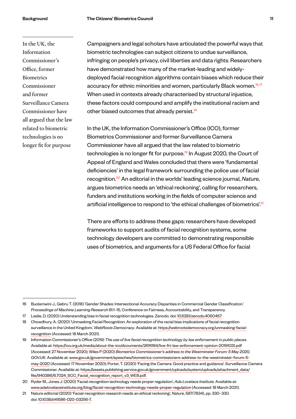In the UK, the Information Commissioner's Office, former Biometrics Commissioner and former Surveillance Camera Commissioner have all argued that the law related to biometric technologies is no longer fit for purpose

Campaigners and legal scholars have articulated the powerful ways that biometric technologies can subject citizens to undue surveillance, infringing on people's privacy, civil liberties and data rights. Researchers have demonstrated how many of the market-leading and widelydeployed facial recognition algorithms contain biases which reduce their accuracy for ethnic minorities and women, particularly Black women.<sup>16,17</sup> When used in contexts already characterised by structural injustice, these factors could compound and amplify the institutional racism and other biased outcomes that already persist.<sup>18</sup>

In the UK, the Information Commissioner's Office (ICO), former Biometrics Commissioner and former Surveillance Camera Commissioner have all argued that the law related to biometric technologies is no longer fit for purpose.<sup>19</sup> In August 2020, the Court of Appeal of England and Wales concluded that there were 'fundamental deficiencies' in the legal framework surrounding the police use of facial recognition.20 An editorial in the worlds' leading science journal, *Nature*, argues biometrics needs an 'ethical reckoning', calling for researchers, funders and institutions working in the fields of computer science and artificial intelligence to respond to 'the ethical challenges of biometrics'.<sup>21</sup>

There are efforts to address these gaps: researchers have developed frameworks to support audits of facial recognition systems, some technology developers are committed to demonstrating responsible uses of biometrics, and arguments for a US Federal Office for facial

<sup>16</sup> Buolamwini J., Gebru T. (2018) 'Gender Shades: Intersectional Accuracy Disparities in Commercial Gender Classification.' *Proceedings of Machine Learning Research* 81:1–15, Conference on Fairness, Accountability, and Transparency.

<sup>17</sup> Leslie, D. (2020) Understanding bias in facial recognition technologies. Zenodo. doi: 10.5281/zenodo.4050457

<sup>18</sup> Chowdhury, A. (2020) 'Unmasking Facial Recognition: An exploration of the racial bias implications of facial recognition surveillance in the United Kingdom.' *WebRoots Democracy*. Available at: https://webrootsdemocracy.org/unmasking-facialrecognition (Accessed: 18 March 2021).

<sup>19</sup> Information Commissioner's Office (2019) *The use of live facial recognition technology by law enforcement in public places*. Available at:<https://ico.org.uk/media/about-the-ico/documents/2616184/live-frt-law-enforcement-opinion-20191031.pdf> (Accessed: 27 November 2020); Wiles P (2020) *Biometrics Commissioner's address to the Westminster Forum: 5 May 2020, GOV.UK*. Available at: [www.gov.uk/government/speeches/biometrics-commissioners-address-to-the-westminster-forum-5](https://www.gov.uk/government/speeches/biometrics-commissioners-address-to-the-westminster-forum-5-may-2020) [may-2020](https://www.gov.uk/government/speeches/biometrics-commissioners-address-to-the-westminster-forum-5-may-2020) (Accessed: 17 November 2020); Porter, T. (2020) 'Facing the Camera: Good practice and guidance'. Surveillance Camera Commissioner. Available at: [https://assets.publishing.service.gov.uk/government/uploads/system/uploads/attachment\\_data/](https://assets.publishing.service.gov.uk/government/uploads/system/uploads/attachment_data/file/940386/6.7024_SCC_Facial_recognition_report_v3_WEB.pdf) [file/940386/6.7024\\_SCC\\_Facial\\_recognition\\_report\\_v3\\_WEB.pdf](https://assets.publishing.service.gov.uk/government/uploads/system/uploads/attachment_data/file/940386/6.7024_SCC_Facial_recognition_report_v3_WEB.pdf).

<sup>20</sup> Ryder M., Jones J. (2020) 'Facial recognition technology needs proper regulation', *Ada Lovelace Institute*. Available at: www.adalovelaceinstitute.org/blog/facial-recognition-technology-needs-proper-regulation (Accessed: 18 March 2021).

<sup>21</sup> Nature editorial (2020) 'Facial-recognition research needs an ethical reckoning', *Nature*, 587(7834), pp. 330–330. doi: [10.1038/d41586-020-03256-7](https://doi.org/10.1038/d41586-020-03256-7).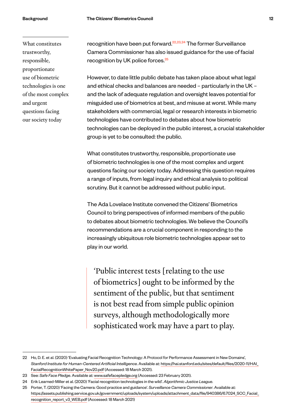What constitutes trustworthy, responsible, proportionate use of biometric technologies is one of the most complex and urgent questions facing our society today

recognition have been put forward.<sup>22,23,24</sup> The former Surveillance Camera Commissioner has also issued guidance for the use of facial recognition by UK police forces.<sup>25</sup>

However, to date little public debate has taken place about what legal and ethical checks and balances are needed – particularly in the UK – and the lack of adequate regulation and oversight leaves potential for misguided use of biometrics at best, and misuse at worst. While many stakeholders with commercial, legal or research interests in biometric technologies have contributed to debates about how biometric technologies can be deployed in the public interest, a crucial stakeholder group is yet to be consulted: the public.

What constitutes trustworthy, responsible, proportionate use of biometric technologies is one of the most complex and urgent questions facing our society today. Addressing this question requires a range of inputs, from legal inquiry and ethical analysis to political scrutiny. But it cannot be addressed without public input.

The Ada Lovelace Institute convened the Citizens' Biometrics Council to bring perspectives of informed members of the public to debates about biometric technologies. We believe the Council's recommendations are a crucial component in responding to the increasingly ubiquitous role biometric technologies appear set to play in our world.

'Public interest tests [relating to the use of biometrics] ought to be informed by the sentiment of the public, but that sentiment is not best read from simple public opinion surveys, although methodologically more sophisticated work may have a part to play.

<sup>22</sup> Ho, D. E. et al. (2020) 'Evaluating Facial Recognition Technology: A Protocol for Performance Assessment in New Domains', *Stanford Institute for Human-Centered Artificial Intelligence*. Available at: https://hai.stanford.edu/sites/default/files/2020-11/HAI\_ FacialRecognitionWhitePaper\_Nov20.pdf (Accessed: 18 March 2021).

<sup>23</sup> See: *Safe Face Pledge*. Available at: [www.safefacepledge.org](https://www.safefacepledge.org/) (Accessed: 23 February 2021).

<sup>24</sup> Erik Learned-Miller et al. (2020) 'Facial recognition technologies in the wild'. *Algorithmic Justice League*.

<sup>25</sup> Porter, T. (2020) 'Facing the Camera: Good practice and guidance'. *Surveillance Camera Commissioner*. Available at: [https://assets.publishing.service.gov.uk/government/uploads/system/uploads/attachment\\_data/file/940386/6.7024\\_SCC\\_Facial\\_](https://assets.publishing.service.gov.uk/government/uploads/system/uploads/attachment_data/file/940386/6.7024_SCC_Facial_recognition_report_v3_WEB.pdf) [recognition\\_report\\_v3\\_WEB.pdf](https://assets.publishing.service.gov.uk/government/uploads/system/uploads/attachment_data/file/940386/6.7024_SCC_Facial_recognition_report_v3_WEB.pdf) (Accessed: 18 March 2021)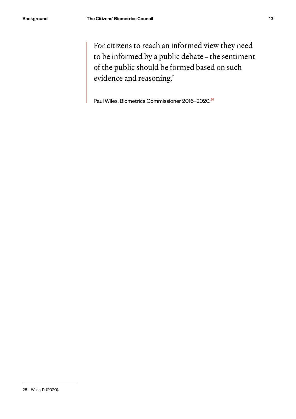For citizens to reach an informed view they need to be informed by a public debate – the sentiment of the public should be formed based on such evidence and reasoning.'

Paul Wiles, Biometrics Commissioner 2016–2020.<sup>26</sup>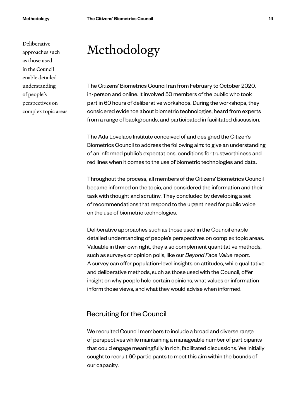<span id="page-14-0"></span>Deliberative

approaches such as those used in the Council enable detailed understanding of people's

perspectives on complex topic areas

# Methodology

The Citizens' Biometrics Council ran from February to October 2020, in-person and online. It involved 50 members of the public who took part in 60 hours of deliberative workshops. During the workshops, they considered evidence about biometric technologies, heard from experts from a range of backgrounds, and participated in facilitated discussion.

The Ada Lovelace Institute conceived of and designed the Citizen's Biometrics Council to address the following aim: to give an understanding of an informed public's expectations, conditions for trustworthiness and red lines when it comes to the use of biometric technologies and data.

Throughout the process, all members of the Citizens' Biometrics Council became informed on the topic, and considered the information and their task with thought and scrutiny. They concluded by developing a set of recommendations that respond to the urgent need for public voice on the use of biometric technologies.

Deliberative approaches such as those used in the Council enable detailed understanding of people's perspectives on complex topic areas. Valuable in their own right, they also complement quantitative methods, such as surveys or opinion polls, like our *Beyond Face Value* report. A survey can offer population-level insights on attitudes, while qualitative and deliberative methods, such as those used with the Council, offer insight on why people hold certain opinions, what values or information inform those views, and what they would advise when informed.

#### Recruiting for the Council

We recruited Council members to include a broad and diverse range of perspectives while maintaining a manageable number of participants that could engage meaningfully in rich, facilitated discussions. We initially sought to recruit 60 participants to meet this aim within the bounds of our capacity.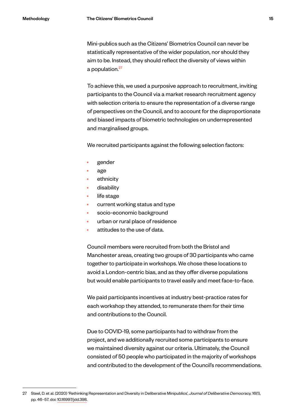Mini-publics such as the Citizens' Biometrics Council can never be statistically representative of the wider population, nor should they aim to be. Instead, they should reflect the diversity of views within a population.<sup>27</sup>

To achieve this, we used a purposive approach to recruitment, inviting participants to the Council via a market research recruitment agency with selection criteria to ensure the representation of a diverse range of perspectives on the Council, and to account for the disproportionate and biased impacts of biometric technologies on underrepresented and marginalised groups.

We recruited participants against the following selection factors:

- gender
- age
- ethnicity
- disability
- life stage
- current working status and type
- socio-economic background
- urban or rural place of residence
- attitudes to the use of data.

Council members were recruited from both the Bristol and Manchester areas, creating two groups of 30 participants who came together to participate in workshops. We chose these locations to avoid a London-centric bias, and as they offer diverse populations but would enable participants to travel easily and meet face-to-face.

We paid participants incentives at industry best-practice rates for each workshop they attended, to remunerate them for their time and contributions to the Council.

Due to COVID-19, some participants had to withdraw from the project, and we additionally recruited some participants to ensure we maintained diversity against our criteria. Ultimately, the Council consisted of 50 people who participated in the majority of workshops and contributed to the development of the Council's recommendations.

<sup>27</sup> Steel, D. et al. (2020) 'Rethinking Representation and Diversity in Deliberative Minipublics', *Journal of Deliberative Democracy,* 16(1), pp. 46–57. doi: [10.16997/jdd.398](https://doi.org/10.16997/jdd.398).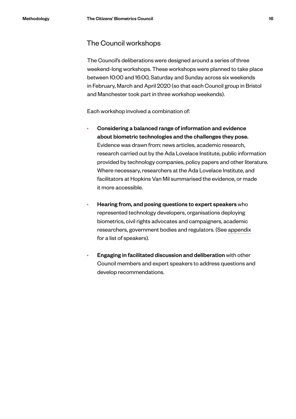#### The Council workshops

The Council's deliberations were designed around a series of three weekend-long workshops. These workshops were planned to take place between 10:00 and 16:00, Saturday and Sunday across six weekends in February, March and April 2020 (so that each Council group in Bristol and Manchester took part in three workshop weekends).

Each workshop involved a combination of:

- Considering a balanced range of information and evidence about biometric technologies and the challenges they pose. Evidence was drawn from: news articles, academic research, research carried out by the Ada Lovelace Institute, public information provided by technology companies, policy papers and other literature. Where necessary, researchers at the Ada Lovelace Institute, and facilitators at Hopkins Van Mil summarised the evidence, or made it more accessible.
- Hearing from, and posing questions to expert speakers who represented technology developers, organisations deploying biometrics, civil rights advocates and campaigners, academic researchers, government bodies and regulators. (See appendix for a list of speakers).
- Engaging in facilitated discussion and deliberation with other Council members and expert speakers to address questions and develop recommendations.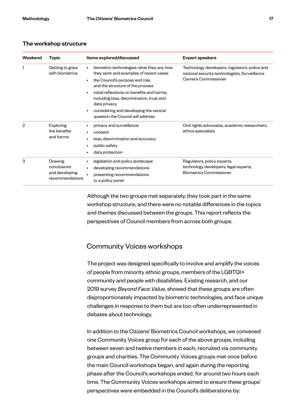#### The workshop structure

| Weekend | Topic                                                       | Items explored/discussed                                                                                                                                                                                                                                                                                                                                                                     | <b>Expert speakers</b>                                                                                                |
|---------|-------------------------------------------------------------|----------------------------------------------------------------------------------------------------------------------------------------------------------------------------------------------------------------------------------------------------------------------------------------------------------------------------------------------------------------------------------------------|-----------------------------------------------------------------------------------------------------------------------|
|         | Getting to grips<br>with biometrics                         | biometric technologies: what they are, how<br>$\bullet$<br>they work and examples of recent cases<br>the Council's purpose and role,<br>$\bullet$<br>and the structure of the process<br>initial reflections on benefits and harms,<br>$\bullet$<br>including bias, discrimination, trust and<br>data privacy<br>considering and developing the central<br>question the Council will address | Technology developers, regulators, police and<br>national security technologists, Surveillance<br>Camera Commissioner |
| 2       | <b>Exploring</b><br>the benefits<br>and harms               | privacy and surveillance<br>٠<br>consent<br>bias, discrimination and accuracy<br>٠<br>public safety<br>٠<br>data protection<br>$\bullet$                                                                                                                                                                                                                                                     | Civil rights advocates, academic researchers,<br>ethics specialists                                                   |
| 3       | Drawing<br>conclusions<br>and developing<br>recommendations | legislation and policy landscape<br>٠<br>developing recommendations<br>$\bullet$<br>presenting recommendations<br>to a policy panel                                                                                                                                                                                                                                                          | Regulators, policy experts,<br>technology developers, legal experts,<br><b>Biometrics Commissioner</b>                |

Although the two groups met separately, they took part in the same workshop structure, and there were no notable differences in the topics and themes discussed between the groups. This report reflects the perspectives of Council members from across both groups.

#### Community Voices workshops

The project was designed specifically to involve and amplify the voices of people from minority ethnic groups, members of the LGBTQI+ community and people with disabilities. Existing research, and our 2019 survey *Beyond Face Value*, showed that these groups are often disproportionately impacted by biometric technologies, and face unique challenges in response to them but are too-often underrepresented in debates about technology.

In addition to the Citizens' Biometrics Council workshops, we convened one Community Voices group for each of the above groups, including between seven and twelve members in each, recruited via community groups and charities. The Community Voices groups met once before the main Council workshops began, and again during the reporting phase after the Council's workshops ended, for around two hours each time. The Community Voices workshops aimed to ensure these groups' perspectives were embedded in the Council's deliberations by: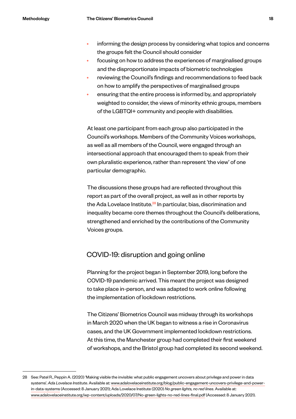- informing the design process by considering what topics and concerns the groups felt the Council should consider
- focusing on how to address the experiences of marginalised groups and the disproportionate impacts of biometric technologies
- reviewing the Council's findings and recommendations to feed back on how to amplify the perspectives of marginalised groups
- ensuring that the entire process is informed by, and appropriately weighted to consider, the views of minority ethnic groups, members of the LGBTQI+ community and people with disabilities.

At least one participant from each group also participated in the Council's workshops. Members of the Community Voices workshops, as well as all members of the Council, were engaged through an intersectional approach that encouraged them to speak from their own pluralistic experience, rather than represent 'the view' of one particular demographic.

The discussions these groups had are reflected throughout this report as part of the overall project, as well as in other reports by the Ada Lovelace Institute.<sup>28</sup> In particular, bias, discrimination and inequality became core themes throughout the Council's deliberations, strengthened and enriched by the contributions of the Community Voices groups.

#### COVID-19: disruption and going online

Planning for the project began in September 2019, long before the COVID-19 pandemic arrived. This meant the project was designed to take place in-person, and was adapted to work online following the implementation of lockdown restrictions.

The Citizens' Biometrics Council was midway through its workshops in March 2020 when the UK began to witness a rise in Coronavirus cases, and the UK Government implemented lockdown restrictions. At this time, the Manchester group had completed their first weekend of workshops, and the Bristol group had completed its second weekend.

<sup>28</sup> See: Patel R., Peppin A. (2020) 'Making visible the invisible: what public engagement uncovers about privilege and power in data systems'. *Ada Lovelace Institute*. Available at: [www.adalovelaceinstitute.org/blog/public-engagement-uncovers-privilege-and-power](https://www.adalovelaceinstitute.org/blog/public-engagement-uncovers-privilege-and-power-in-data-systems/)[in-data-systems](https://www.adalovelaceinstitute.org/blog/public-engagement-uncovers-privilege-and-power-in-data-systems/) (Accessed: 8 January 2021); Ada Lovelace Institute (2020) *No green lights, no red lines*. Available at: [www.adalovelaceinstitute.org/wp-content/uploads/2020/07/No-green-lights-no-red-lines-final.pdf](https://www.adalovelaceinstitute.org/wp-content/uploads/2020/07/No-green-lights-no-red-lines-final.pdf) (Accessed: 8 January 2021).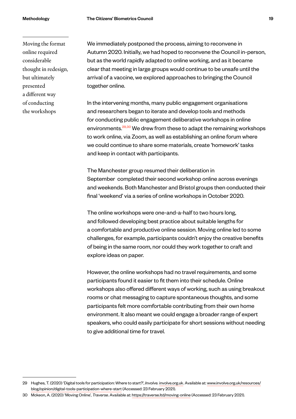Moving the format online required considerable thought in redesign, but ultimately presented a different way of conducting the workshops

We immediately postponed the process, aiming to reconvene in Autumn 2020. Initially, we had hoped to reconvene the Council in-person, but as the world rapidly adapted to online working, and as it became clear that meeting in large groups would continue to be unsafe until the arrival of a vaccine, we explored approaches to bringing the Council together online.

In the intervening months, many public engagement organisations and researchers began to iterate and develop tools and methods for conducting public engagement deliberative workshops in online environments.<sup>29,30</sup> We drew from these to adapt the remaining workshops to work online, via Zoom, as well as establishing an online forum where we could continue to share some materials, create 'homework' tasks and keep in contact with participants.

The Manchester group resumed their deliberation in September completed their second workshop online across evenings and weekends. Both Manchester and Bristol groups then conducted their final 'weekend' via a series of online workshops in October 2020.

The online workshops were one-and-a-half to two hours long, and followed developing best practice about suitable lengths for a comfortable and productive online session. Moving online led to some challenges, for example, participants couldn't enjoy the creative benefits of being in the same room, nor could they work together to craft and explore ideas on paper.

However, the online workshops had no travel requirements, and some participants found it easier to fit them into their schedule. Online workshops also offered different ways of working, such as using breakout rooms or chat messaging to capture spontaneous thoughts, and some participants felt more comfortable contributing from their own home environment. It also meant we could engage a broader range of expert speakers, who could easily participate for short sessions without needing to give additional time for travel.

<sup>29</sup> Hughes, T. (2020) 'Digital tools for participation: Where to start?', *Involve.* involve.org.uk. Available at: [www.involve.org.uk/resources/](https://www.involve.org.uk/resources/blog/opinion/digital-tools-participation-where-start) [blog/opinion/digital-tools-participation-where-start](https://www.involve.org.uk/resources/blog/opinion/digital-tools-participation-where-start) (Accessed: 23 February 2021).

<sup>30</sup> Mckeon, A. (2020) 'Moving Online', *Traverse*. Available at: https://traverse.ltd/moving-online (Accessed: 23 February 2021).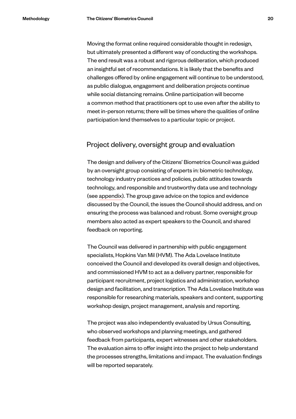Moving the format online required considerable thought in redesign, but ultimately presented a different way of conducting the workshops. The end result was a robust and rigorous deliberation, which produced an insightful set of recommendations. It is likely that the benefits and challenges offered by online engagement will continue to be understood, as public dialogue, engagement and deliberation projects continue while social distancing remains. Online participation will become a common method that practitioners opt to use even after the ability to meet in-person returns; there will be times where the qualities of online participation lend themselves to a particular topic or project.

#### Project delivery, oversight group and evaluation

The design and delivery of the Citizens' Biometrics Council was guided by an oversight group consisting of experts in: biometric technology, technology industry practices and policies, public attitudes towards technology, and responsible and trustworthy data use and technology (see appendix). The group gave advice on the topics and evidence discussed by the Council, the issues the Council should address, and on ensuring the process was balanced and robust. Some oversight group members also acted as expert speakers to the Council, and shared feedback on reporting.

The Council was delivered in partnership with public engagement specialists, Hopkins Van Mil (HVM). The Ada Lovelace Institute conceived the Council and developed its overall design and objectives, and commissioned HVM to act as a delivery partner, responsible for participant recruitment, project logistics and administration, workshop design and facilitation, and transcription. The Ada Lovelace Institute was responsible for researching materials, speakers and content, supporting workshop design, project management, analysis and reporting.

The project was also independently evaluated by Ursus Consulting, who observed workshops and planning meetings, and gathered feedback from participants, expert witnesses and other stakeholders. The evaluation aims to offer insight into the project to help understand the processes strengths, limitations and impact. The evaluation findings will be reported separately.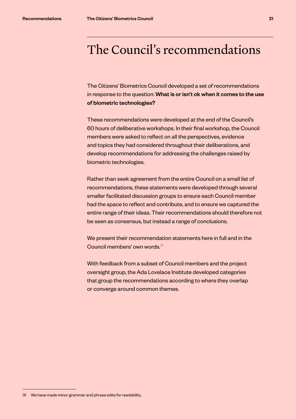# <span id="page-21-0"></span>The Council's recommendations

The Citizens' Biometrics Council developed a set of recommendations in response to the question: What is or isn't ok when it comes to the use of biometric technologies?

These recommendations were developed at the end of the Council's 60 hours of deliberative workshops. In their final workshop, the Council members were asked to reflect on all the perspectives, evidence and topics they had considered throughout their deliberations, and develop recommendations for addressing the challenges raised by biometric technologies.

Rather than seek agreement from the entire Council on a small list of recommendations, these statements were developed through several smaller facilitated discussion groups to ensure each Council member had the space to reflect and contribute, and to ensure we captured the entire range of their ideas. Their recommendations should therefore not be seen as consensus, but instead a range of conclusions.

We present their recommendation statements here in full and in the Council members' own words.<sup>31</sup>

With feedback from a subset of Council members and the project oversight group, the Ada Lovelace Institute developed categories that group the recommendations according to where they overlap or converge around common themes.

<sup>31</sup> We have made minor grammar and phrase edits for readability.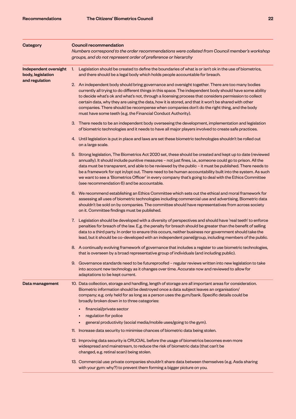| <b>Category</b>                            | <b>Council recommendation</b><br>Numbers correspond to the order recommendations were collated from Council member's workshop<br>groups, and do not represent order of preference or hierarchy                                                                                                                                                                                                                                                                                                                                                                                                      |  |  |
|--------------------------------------------|-----------------------------------------------------------------------------------------------------------------------------------------------------------------------------------------------------------------------------------------------------------------------------------------------------------------------------------------------------------------------------------------------------------------------------------------------------------------------------------------------------------------------------------------------------------------------------------------------------|--|--|
|                                            |                                                                                                                                                                                                                                                                                                                                                                                                                                                                                                                                                                                                     |  |  |
| Independent oversight<br>body, legislation | Legislation should be created to define the boundaries of what is or isn't ok in the use of biometrics,<br>1.<br>and there should be a legal body which holds people accountable for breach.                                                                                                                                                                                                                                                                                                                                                                                                        |  |  |
| and regulation                             | 2. An independent body should bring governance and oversight together. There are too many bodies<br>currently all trying to do different things in this space. The independent body should have some ability<br>to decide what's ok and what's not, through a licensing process that considers permission to collect<br>certain data, why they are using the data, how it is stored, and that it won't be shared with other<br>companies. There should be recompense when companies don't do the right thing, and the body<br>must have some teeth (e.g. the Financial Conduct Authority).          |  |  |
|                                            | 3. There needs to be an independent body overseeing the development, implementation and legislation<br>of biometric technologies and it needs to have all major players involved to create safe practices.                                                                                                                                                                                                                                                                                                                                                                                          |  |  |
|                                            | 4. Until legislation is put in place and laws are set these biometric technologies shouldn't be rolled out<br>on a large scale.                                                                                                                                                                                                                                                                                                                                                                                                                                                                     |  |  |
|                                            | 5. Strong legislation, The Biometrics Act 2020 set, these should be created and kept up to date (reviewed<br>annually). It should include punitive measures - not just fines, i.e., someone could go to prison. All the<br>data must be transparent, and able to be reviewed by the public - it must be published. There needs to<br>be a framework for opt in/opt out. There need to be human accountability built into the system. As such<br>we want to see a 'Biometrics Officer' in every company that's going to deal with the Ethics Committee<br>(see recommendation 6) and be accountable. |  |  |
|                                            | 6. We recommend establishing an Ethics Committee which sets out the ethical and moral framework for<br>assessing all uses of biometric technologies including commercial use and advertising. Biometric data<br>shouldn't be sold on by companies. The committee should have representatives from across society<br>on it. Committee findings must be published.                                                                                                                                                                                                                                    |  |  |
|                                            | 7. Legislation should be developed with a diversity of perspectives and should have 'real teeth' to enforce<br>penalties for breach of the law. E.g. the penalty for breach should be greater than the benefit of selling<br>data to a third party. In order to ensure this occurs, neither business nor government should take the<br>lead, but it should be co-developed with an independent panel/group, including members of the public.                                                                                                                                                        |  |  |
|                                            | 8. A continually evolving framework of governance that includes a register to use biometric technologies,<br>that is overseen by a broad representative group of individuals (and including public).                                                                                                                                                                                                                                                                                                                                                                                                |  |  |
|                                            | 9. Governance standards need to be futureproofed - regular reviews written into new legislation to take<br>into account new technology as it changes over time. Accurate now and reviewed to allow for<br>adaptations to be kept current.                                                                                                                                                                                                                                                                                                                                                           |  |  |
| Data management                            | 10. Data collection, storage and handling, length of storage are all important areas for consideration.<br>Biometric information should be destroyed once a data subject leaves an organisation/<br>company; e.g. only held for as long as a person uses the gym/bank. Specific details could be<br>broadly broken down in to three categories:                                                                                                                                                                                                                                                     |  |  |
|                                            | financial/private sector                                                                                                                                                                                                                                                                                                                                                                                                                                                                                                                                                                            |  |  |
|                                            | regulation for police                                                                                                                                                                                                                                                                                                                                                                                                                                                                                                                                                                               |  |  |
|                                            | general productivity (social media/mobile uses/going to the gym).                                                                                                                                                                                                                                                                                                                                                                                                                                                                                                                                   |  |  |
|                                            | 11. Increase data security to minimise chances of biometric data being stolen.                                                                                                                                                                                                                                                                                                                                                                                                                                                                                                                      |  |  |
|                                            | 12. Improving data security is CRUCIAL before the usage of biometrics becomes even more<br>widespread and mainstream, to reduce the risk of biometric data (that can't be<br>changed, e.g. retinal scan) being stolen.                                                                                                                                                                                                                                                                                                                                                                              |  |  |
|                                            | 13. Commercial use: private companies shouldn't share data between themselves (e.g. Asda sharing<br>with your gym: why?) to prevent them forming a bigger picture on you.                                                                                                                                                                                                                                                                                                                                                                                                                           |  |  |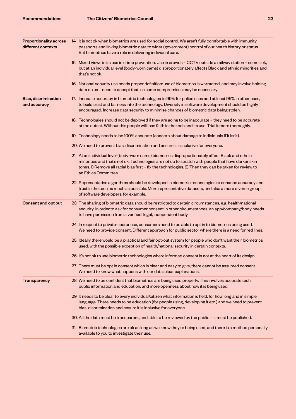| <b>Proportionality across</b><br>different contexts | 14. It is not ok when biometrics are used for social control. We aren't fully comfortable with immunity<br>passports and linking biometric data to wider (government) control of our health history or status.<br>But biometrics have a role in delivering individual care.                                                               |
|-----------------------------------------------------|-------------------------------------------------------------------------------------------------------------------------------------------------------------------------------------------------------------------------------------------------------------------------------------------------------------------------------------------|
|                                                     | 15. Mixed views in its use in crime prevention. Use in crowds - CCTV outside a railway station - seems ok,<br>but at an individual level (body-worn cams) disproportionately affects Black and ethnic minorities and<br>that's not ok.                                                                                                    |
|                                                     | 16. National security use needs proper definition: use of biometrics is warranted, and may involve holding<br>data on us - need to accept that, so some compromises may be necessary.                                                                                                                                                     |
| <b>Bias, discrimination</b><br>and accuracy         | 17. Increase accuracy in biometric technologies to 99% for police uses and at least 95% in other uses,<br>to build trust and fairness into the technology. Diversity in software development should be highly<br>encouraged. Increase data security to minimise chances of biometric data being stolen.                                   |
|                                                     | 18. Technologies should not be deployed if they are going to be inaccurate - they need to be accurate<br>at the outset. Without this people will lose faith in the tech and its use. Trial it more thoroughly.                                                                                                                            |
|                                                     | 19. Technology needs to be 100% accurate (concern about damage to individuals if it isn't).                                                                                                                                                                                                                                               |
|                                                     | 20. We need to prevent bias, discrimination and ensure it is inclusive for everyone.                                                                                                                                                                                                                                                      |
|                                                     | 21. At an individual level (body-worn cams) biometrics disproportionately affect Black and ethnic<br>minorities and that's not ok. Technologies are not up to scratch with people that have darker skin<br>tones. 1) Remove all racial bias first - fix the technologies. 2) Then they can be taken for review to<br>an Ethics Committee. |
|                                                     | 22. Representative algorithms should be developed in biometric technologies to enhance accuracy and<br>trust in the tech as much as possible. More representative datasets, and also a more diverse group<br>of software developers, for example.                                                                                         |
| <b>Consent and opt out</b>                          | 23. The sharing of biometric data should be restricted to certain circumstances, e.g. health/national<br>security. In order to ask for consumer consent in other circumstances, an app/company/body needs<br>to have permission from a verified, legal, independent body.                                                                 |
|                                                     | 24. In respect to private-sector use, consumers need to be able to opt in to biometrics being used.<br>We need to provide consent. Different approach for public sector where there is a need for red lines.                                                                                                                              |
|                                                     | 25. Ideally there would be a practical and fair opt-out system for people who don't want their biometrics<br>used, with the possible exception of health/national security in certain contexts.                                                                                                                                           |
|                                                     | 26. It's not ok to use biometric technologies where informed consent is not at the heart of its design.                                                                                                                                                                                                                                   |
|                                                     | 27. There must be opt in consent which is clear and easy to give, there cannot be assumed consent.<br>We need to know what happens with our data: clear explanations.                                                                                                                                                                     |
| <b>Transparency</b>                                 | 28. We need to be confident that biometrics are being used properly. This involves accurate tech,<br>public information and education, and more openness about how it is being used.                                                                                                                                                      |
|                                                     | 29. It needs to be clear to every individual/citizen what information is held, for how long and in simple<br>language. There needs to be education (for people using, developing it etc.) and we need to prevent<br>bias, discrimination and ensure it is inclusive for everyone.                                                         |
|                                                     | 30. All the data must be transparent, and able to be reviewed by the public - it must be published.                                                                                                                                                                                                                                       |
|                                                     | 31. Biometric technologies are ok as long as we know they're being used, and there is a method personally<br>available to you to investigate their use.                                                                                                                                                                                   |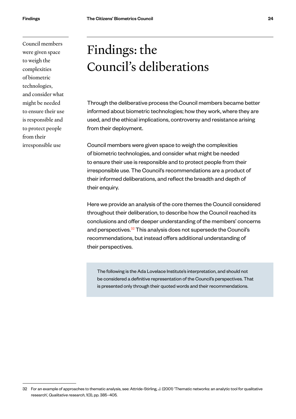<span id="page-24-0"></span>Council members were given space to weigh the complexities of biometric technologies, and consider what might be needed to ensure their use is responsible and to protect people from their irresponsible use

# Findings: the Council's deliberations

Through the deliberative process the Council members became better informed about biometric technologies; how they work, where they are used, and the ethical implications, controversy and resistance arising from their deployment.

Council members were given space to weigh the complexities of biometric technologies, and consider what might be needed to ensure their use is responsible and to protect people from their irresponsible use. The Council's recommendations are a product of their informed deliberations, and reflect the breadth and depth of their enquiry.

Here we provide an analysis of the core themes the Council considered throughout their deliberation, to describe how the Council reached its conclusions and offer deeper understanding of the members' concerns and perspectives.<sup>32</sup> This analysis does not supersede the Council's recommendations, but instead offers additional understanding of their perspectives.

The following is the Ada Lovelace Institute's interpretation, and should not be considered a definitive representation of the Council's perspectives. That is presented only through their quoted words and their recommendations.

<sup>32</sup> For an example of approaches to thematic analysis, see: Attride-Stirling, J. (2001) 'Thematic networks: an analytic tool for qualitative research', *Qualitative research*, 1(3), pp. 385–405.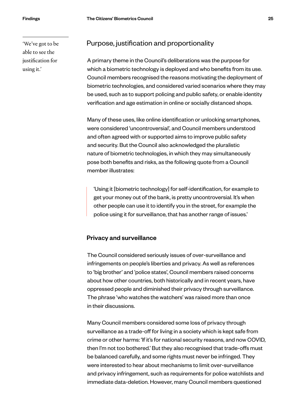'We've got to be able to see the justification for using it.'

#### Purpose, justification and proportionality

A primary theme in the Council's deliberations was the purpose for which a biometric technology is deployed and who benefits from its use. Council members recognised the reasons motivating the deployment of biometric technologies, and considered varied scenarios where they may be used, such as to support policing and public safety, or enable identity verification and age estimation in online or socially distanced shops.

Many of these uses, like online identification or unlocking smartphones, were considered 'uncontroversial', and Council members understood and often agreed with or supported aims to improve public safety and security. But the Council also acknowledged the pluralistic nature of biometric technologies, in which they may simultaneously pose both benefits and risks, as the following quote from a Council member illustrates:

'Using it [biometric technology] for self-identification, for example to get your money out of the bank, is pretty uncontroversial. It's when other people can use it to identify you in the street, for example the police using it for surveillance, that has another range of issues.'

#### Privacy and surveillance

The Council considered seriously issues of over-surveillance and infringements on people's liberties and privacy. As well as references to 'big brother' and 'police states', Council members raised concerns about how other countries, both historically and in recent years, have oppressed people and diminished their privacy through surveillance. The phrase 'who watches the watchers' was raised more than once in their discussions.

Many Council members considered some loss of privacy through surveillance as a trade-off for living in a society which is kept safe from crime or other harms: 'If it's for national security reasons, and now COVID, then I'm not too bothered.' But they also recognised that trade-offs must be balanced carefully, and some rights must never be infringed. They were interested to hear about mechanisms to limit over-surveillance and privacy infringement, such as requirements for police watchlists and immediate data-deletion. However, many Council members questioned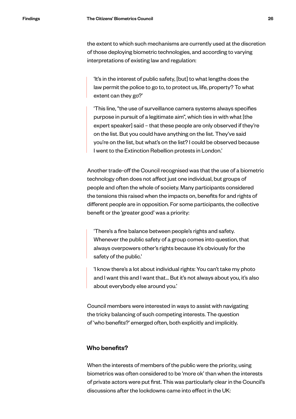the extent to which such mechanisms are currently used at the discretion of those deploying biometric technologies, and according to varying interpretations of existing law and regulation:

'It's in the interest of public safety, [but] to what lengths does the law permit the police to go to, to protect us, life, property? To what extent can they go?'

'This line, "the use of surveillance camera systems always specifies purpose in pursuit of a legitimate aim", which ties in with what [the expert speaker] said – that these people are only observed if they're on the list. But you could have anything on the list. They've said you're on the list, but what's on the list? I could be observed because I went to the Extinction Rebellion protests in London.'

Another trade-off the Council recognised was that the use of a biometric technology often does not affect just one individual, but groups of people and often the whole of society. Many participants considered the tensions this raised when the impacts on, benefits for and rights of different people are in opposition. For some participants, the collective benefit or the 'greater good' was a priority:

'There's a fine balance between people's rights and safety. Whenever the public safety of a group comes into question, that always overpowers other's rights because it's obviously for the safety of the public.'

'I know there's a lot about individual rights: You can't take my photo and I want this and I want that… But it's not always about you, it's also about everybody else around you.'

Council members were interested in ways to assist with navigating the tricky balancing of such competing interests. The question of 'who benefits?' emerged often, both explicitly and implicitly.

#### Who benefits?

When the interests of members of the public were the priority, using biometrics was often considered to be 'more ok' than when the interests of private actors were put first. This was particularly clear in the Council's discussions after the lockdowns came into effect in the UK: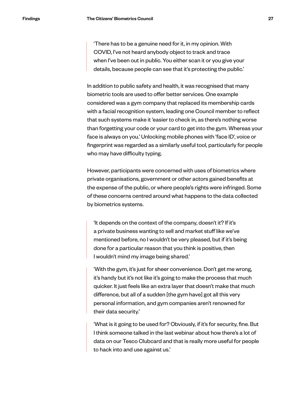'There has to be a genuine need for it, in my opinion. With COVID, I've not heard anybody object to track and trace when I've been out in public. You either scan it or you give your details, because people can see that it's protecting the public.'

In addition to public safety and health, it was recognised that many biometric tools are used to offer better services. One example considered was a gym company that replaced its membership cards with a facial recognition system, leading one Council member to reflect that such systems make it 'easier to check in, as there's nothing worse than forgetting your code or your card to get into the gym. Whereas your face is always on you.' Unlocking mobile phones with 'face ID', voice or fingerprint was regarded as a similarly useful tool, particularly for people who may have difficulty typing.

However, participants were concerned with uses of biometrics where private organisations, government or other actors gained benefits at the expense of the public, or where people's rights were infringed. Some of these concerns centred around what happens to the data collected by biometrics systems.

'It depends on the context of the company, doesn't it? If it's a private business wanting to sell and market stuff like we've mentioned before, no I wouldn't be very pleased, but if it's being done for a particular reason that you think is positive, then I wouldn't mind my image being shared.'

'With the gym, it's just for sheer convenience. Don't get me wrong, it's handy but it's not like it's going to make the process that much quicker. It just feels like an extra layer that doesn't make that much difference, but all of a sudden [the gym have] got all this very personal information, and gym companies aren't renowned for their data security.'

'What is it going to be used for? Obviously, if it's for security, fine. But I think someone talked in the last webinar about how there's a lot of data on our Tesco Clubcard and that is really more useful for people to hack into and use against us.'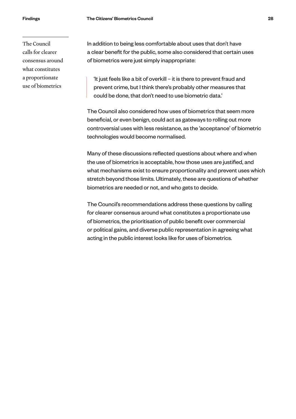The Council calls for clearer consensus around what constitutes a proportionate use of biometrics

In addition to being less comfortable about uses that don't have a clear benefit for the public, some also considered that certain uses of biometrics were just simply inappropriate:

'It just feels like a bit of overkill – it is there to prevent fraud and prevent crime, but I think there's probably other measures that could be done, that don't need to use biometric data.'

The Council also considered how uses of biometrics that seem more beneficial, or even benign, could act as gateways to rolling out more controversial uses with less resistance, as the 'acceptance' of biometric technologies would become normalised.

Many of these discussions reflected questions about where and when the use of biometrics is acceptable, how those uses are justified, and what mechanisms exist to ensure proportionality and prevent uses which stretch beyond those limits. Ultimately, these are questions of whether biometrics are needed or not, and who gets to decide.

The Council's recommendations address these questions by calling for clearer consensus around what constitutes a proportionate use of biometrics, the prioritisation of public benefit over commercial or political gains, and diverse public representation in agreeing what acting in the public interest looks like for uses of biometrics.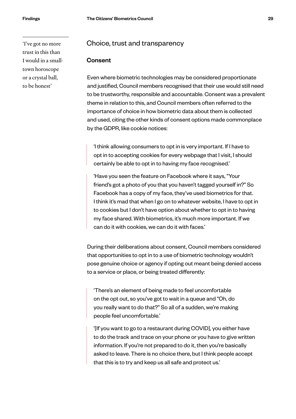'I've got no more trust in this than I would in a smalltown horoscope or a crystal ball, to be honest'

#### Choice, trust and transparency

#### **Consent**

Even where biometric technologies may be considered proportionate and justified, Council members recognised that their use would still need to be trustworthy, responsible and accountable. Consent was a prevalent theme in relation to this, and Council members often referred to the importance of choice in how biometric data about them is collected and used, citing the other kinds of consent options made commonplace by the GDPR, like cookie notices:

'I think allowing consumers to opt in is very important. If I have to opt in to accepting cookies for every webpage that I visit, I should certainly be able to opt in to having my face recognised.'

'Have you seen the feature on Facebook where it says, "Your friend's got a photo of you that you haven't tagged yourself in?" So Facebook has a copy of my face, they've used biometrics for that. I think it's mad that when I go on to whatever website, I have to opt in to cookies but I don't have option about whether to opt in to having my face shared. With biometrics, it's much more important. If we can do it with cookies, we can do it with faces.'

During their deliberations about consent, Council members considered that opportunities to opt in to a use of biometric technology wouldn't pose genuine choice or agency if opting out meant being denied access to a service or place, or being treated differently:

'There's an element of being made to feel uncomfortable on the opt out, so you've got to wait in a queue and "Oh, do you really want to do that?" So all of a sudden, we're making people feel uncomfortable.'

'[If you want to go to a restaurant during COVID], you either have to do the track and trace on your phone or you have to give written information. If you're not prepared to do it, then you're basically asked to leave. There is no choice there, but I think people accept that this is to try and keep us all safe and protect us.'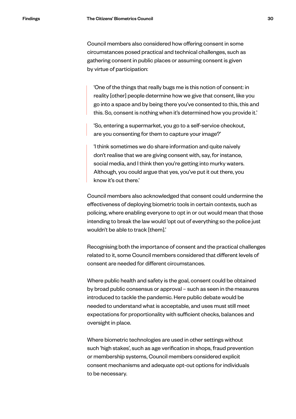Council members also considered how offering consent in some circumstances posed practical and technical challenges, such as gathering consent in public places or assuming consent is given by virtue of participation:

'One of the things that really bugs me is this notion of consent: in reality [other] people determine how we give that consent, like you go into a space and by being there you've consented to this, this and this. So, consent is nothing when it's determined how you provide it.'

'So, entering a supermarket, you go to a self-service checkout, are you consenting for them to capture your image?'

'I think sometimes we do share information and quite naively don't realise that we are giving consent with, say, for instance, social media, and I think then you're getting into murky waters. Although, you could argue that yes, you've put it out there, you know it's out there.'

Council members also acknowledged that consent could undermine the effectiveness of deploying biometric tools in certain contexts, such as policing, where enabling everyone to opt in or out would mean that those intending to break the law would 'opt out of everything so the police just wouldn't be able to track [them].'

Recognising both the importance of consent and the practical challenges related to it, some Council members considered that different levels of consent are needed for different circumstances.

Where public health and safety is the goal, consent could be obtained by broad public consensus or approval – such as seen in the measures introduced to tackle the pandemic. Here public debate would be needed to understand what is acceptable, and uses must still meet expectations for proportionality with sufficient checks, balances and oversight in place.

Where biometric technologies are used in other settings without such 'high stakes', such as age verification in shops, fraud prevention or membership systems, Council members considered explicit consent mechanisms and adequate opt-out options for individuals to be necessary.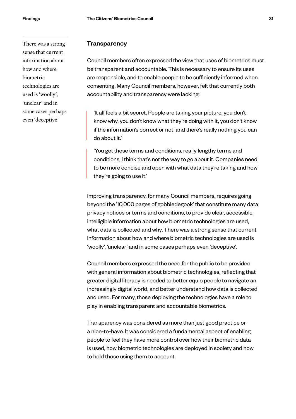There was a strong sense that current information about how and where biometric technologies are used is 'woolly', 'unclear' and in some cases perhaps even 'deceptive'

#### **Transparency**

Council members often expressed the view that uses of biometrics must be transparent and accountable. This is necessary to ensure its uses are responsible, and to enable people to be sufficiently informed when consenting. Many Council members, however, felt that currently both accountability and transparency were lacking:

'It all feels a bit secret. People are taking your picture, you don't know why, you don't know what they're doing with it, you don't know if the information's correct or not, and there's really nothing you can do about it.'

'You get those terms and conditions, really lengthy terms and conditions, I think that's not the way to go about it. Companies need to be more concise and open with what data they're taking and how they're going to use it.'

Improving transparency, for many Council members, requires going beyond the '10,000 pages of gobbledegook' that constitute many data privacy notices or terms and conditions, to provide clear, accessible, intelligible information about how biometric technologies are used, what data is collected and why. There was a strong sense that current information about how and where biometric technologies are used is 'woolly', 'unclear' and in some cases perhaps even 'deceptive'.

Council members expressed the need for the public to be provided with general information about biometric technologies, reflecting that greater digital literacy is needed to better equip people to navigate an increasingly digital world, and better understand how data is collected and used. For many, those deploying the technologies have a role to play in enabling transparent and accountable biometrics.

Transparency was considered as more than just good practice or a nice-to-have. It was considered a fundamental aspect of enabling people to feel they have more control over how their biometric data is used, how biometric technologies are deployed in society and how to hold those using them to account.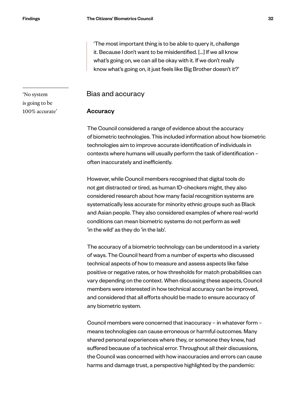'The most important thing is to be able to query it, challenge it. Because I don't want to be misidentified. […] If we all know what's going on, we can all be okay with it. If we don't really know what's going on, it just feels like Big Brother doesn't it?'

Bias and accuracy

#### **Accuracy**

The Council considered a range of evidence about the accuracy of biometric technologies. This included information about how biometric technologies aim to improve accurate identification of individuals in contexts where humans will usually perform the task of identification – often inaccurately and inefficiently.

However, while Council members recognised that digital tools do not get distracted or tired, as human ID-checkers might, they also considered research about how many facial recognition systems are systematically less accurate for minority ethnic groups such as Black and Asian people. They also considered examples of where real-world conditions can mean biometric systems do not perform as well 'in the wild' as they do 'in the lab'.

The accuracy of a biometric technology can be understood in a variety of ways. The Council heard from a number of experts who discussed technical aspects of how to measure and assess aspects like false positive or negative rates, or how thresholds for match probabilities can vary depending on the context. When discussing these aspects, Council members were interested in how technical accuracy can be improved, and considered that all efforts should be made to ensure accuracy of any biometric system.

Council members were concerned that inaccuracy – in whatever form – means technologies can cause erroneous or harmful outcomes. Many shared personal experiences where they, or someone they knew, had suffered because of a technical error. Throughout all their discussions, the Council was concerned with how inaccuracies and errors can cause harms and damage trust, a perspective highlighted by the pandemic:

'No system is going to be 100% accurate'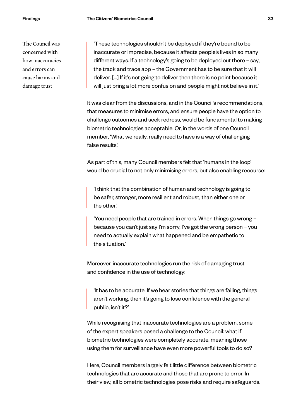The Council was concerned with how inaccuracies and errors can cause harms and damage trust

'These technologies shouldn't be deployed if they're bound to be inaccurate or imprecise, because it affects people's lives in so many different ways. If a technology's going to be deployed out there – say, the track and trace app – the Government has to be sure that it will deliver. […] If it's not going to deliver then there is no point because it will just bring a lot more confusion and people might not believe in it.'

It was clear from the discussions, and in the Council's recommendations, that measures to minimise errors, and ensure people have the option to challenge outcomes and seek redress, would be fundamental to making biometric technologies acceptable. Or, in the words of one Council member, 'What we really, really need to have is a way of challenging false results.'

As part of this, many Council members felt that 'humans in the loop' would be crucial to not only minimising errors, but also enabling recourse:

'I think that the combination of human and technology is going to be safer, stronger, more resilient and robust, than either one or the other.'

'You need people that are trained in errors. When things go wrong – because you can't just say I'm sorry, I've got the wrong person – you need to actually explain what happened and be empathetic to the situation.'

Moreover, inaccurate technologies run the risk of damaging trust and confidence in the use of technology:

'It has to be accurate. If we hear stories that things are failing, things aren't working, then it's going to lose confidence with the general public, isn't it?'

While recognising that inaccurate technologies are a problem, some of the expert speakers posed a challenge to the Council: what if biometric technologies were completely accurate, meaning those using them for surveillance have even more powerful tools to do so?

Here, Council members largely felt little difference between biometric technologies that are accurate and those that are prone to error. In their view, all biometric technologies pose risks and require safeguards.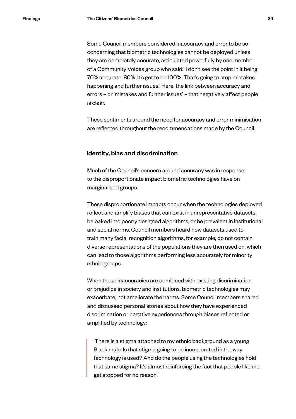Some Council members considered inaccuracy and error to be so concerning that biometric technologies cannot be deployed unless they are completely accurate, articulated powerfully by one member of a Community Voices group who said: 'I don't see the point in it being 70% accurate, 80%. It's got to be 100%. That's going to stop mistakes happening and further issues.' Here, the link between accuracy and errors – or 'mistakes and further issues' – that negatively affect people is clear.

These sentiments around the need for accuracy and error minimisation are reflected throughout the recommendations made by the Council.

#### Identity, bias and discrimination

Much of the Council's concern around accuracy was in response to the disproportionate impact biometric technologies have on marginalised groups.

These disproportionate impacts occur when the technologies deployed reflect and amplify biases that can exist in unrepresentative datasets, be baked into poorly designed algorithms, or be prevalent in institutional and social norms. Council members heard how datasets used to train many facial recognition algorithms, for example, do not contain diverse representations of the populations they are then used on, which can lead to those algorithms performing less accurately for minority ethnic groups.

When those inaccuracies are combined with existing discrimination or prejudice in society and institutions, biometric technologies may exacerbate, not ameliorate the harms. Some Council members shared and discussed personal stories about how they have experienced discrimination or negative experiences through biases reflected or amplified by technology:

'There is a stigma attached to my ethnic background as a young Black male. Is that stigma going to be incorporated in the way technology is used? And do the people using the technologies hold that same stigma? It's almost reinforcing the fact that people like me get stopped for no reason.'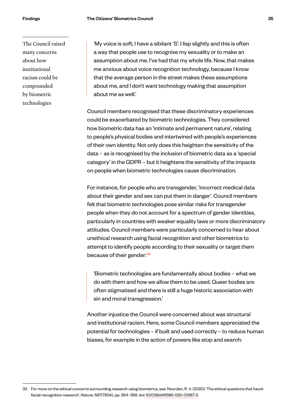The Council raised many concerns about how institutional racism could be compounded by biometric technologies

'My voice is soft; I have a sibilant 'S'. I lisp slightly and this is often a way that people use to recognise my sexuality or to make an assumption about me. I've had that my whole life. Now, that makes me anxious about voice recognition technology, because I know that the average person in the street makes these assumptions about me, and I don't want technology making that assumption about me as well.'

Council members recognised that these discriminatory experiences could be exacerbated by biometric technologies. They considered how biometric data has an 'intimate and permanent nature', relating to people's physical bodies and intertwined with people's experiences of their own identity. Not only does this heighten the sensitivity of the data – as is recognised by the inclusion of biometric data as a 'special category' in the GDPR – but it heightens the sensitivity of the impacts on people when biometric technologies cause discrimination.

For instance, for people who are transgender, 'incorrect medical data about their gender and sex can put them in danger'. Council members felt that biometric technologies pose similar risks for transgender people when they do not account for a spectrum of gender identities, particularly in countries with weaker equality laws or more discriminatory attitudes. Council members were particularly concerned to hear about unethical research using facial recognition and other biometrics to attempt to identify people according to their sexuality or target them because of their gender.<sup>33</sup>

'Biometric technologies are fundamentally about bodies – what we do with them and how we allow them to be used. Queer bodies are often stigmatised and there is still a huge historic association with sin and moral transgression.'

Another injustice the Council were concerned about was structural and institutional racism. Here, some Council members appreciated the potential for technologies – if built and used correctly – to reduce human biases, for example in the action of powers like stop and search:

<sup>33</sup> For more on the ethical concerns surrounding research using biometrics, see: Noorden, R. V. (2020) 'The ethical questions that haunt facial-recognition research', *Nature*, 587(7834), pp. 354–358. doi: [10.1038/d41586-020-03187-3](https://doi.org/10.1038/d41586-020-03187-3).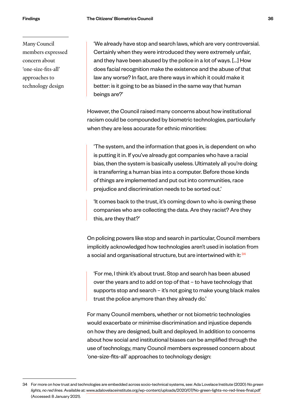Many Council members expressed concern about 'one-size-fits-all' approaches to technology design

'We already have stop and search laws, which are very controversial. Certainly when they were introduced they were extremely unfair, and they have been abused by the police in a lot of ways. […] How does facial recognition make the existence and the abuse of that law any worse? In fact, are there ways in which it could make it better: is it going to be as biased in the same way that human beings are?'

However, the Council raised many concerns about how institutional racism could be compounded by biometric technologies, particularly when they are less accurate for ethnic minorities:

'The system, and the information that goes in, is dependent on who is putting it in. If you've already got companies who have a racial bias, then the system is basically useless. Ultimately all you're doing is transferring a human bias into a computer. Before those kinds of things are implemented and put out into communities, race prejudice and discrimination needs to be sorted out.'

'It comes back to the trust, it's coming down to who is owning these companies who are collecting the data. Are they racist? Are they this, are they that?'

On policing powers like stop and search in particular, Council members implicitly acknowledged how technologies aren't used in isolation from a social and organisational structure, but are intertwined with it: <sup>34</sup>

'For me, I think it's about trust. Stop and search has been abused over the years and to add on top of that – to have technology that supports stop and search – it's not going to make young black males trust the police anymore than they already do.'

For many Council members, whether or not biometric technologies would exacerbate or minimise discrimination and injustice depends on how they are designed, built and deployed. In addition to concerns about how social and institutional biases can be amplified through the use of technology, many Council members expressed concern about 'one-size-fits-all' approaches to technology design:

<sup>34</sup> For more on how trust and technologies are embedded across socio-technical systems, see: Ada Lovelace Institute (2020) *No green lights, no red lines*. Available at: [www.adalovelaceinstitute.org/wp-content/uploads/2020/07/No-green-lights-no-red-lines-final.pdf](https://www.adalovelaceinstitute.org/wp-content/uploads/2020/07/No-green-lights-no-red-lines-final.pdf)  (Accessed: 8 January 2021).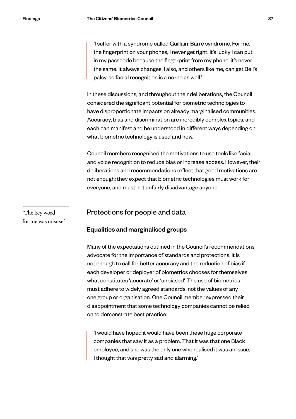'I suffer with a syndrome called Guillain-Barré syndrome. For me, the fingerprint on your phones, I never get right. It's lucky I can put in my passcode because the fingerprint from my phone, it's never the same. It always changes. I also, and others like me, can get Bell's palsy, so facial recognition is a no-no as well.'

In these discussions, and throughout their deliberations, the Council considered the significant potential for biometric technologies to have disproportionate impacts on already marginalised communities. Accuracy, bias and discrimination are incredibly complex topics, and each can manifest and be understood in different ways depending on what biometric technology is used and how.

Council members recognised the motivations to use tools like facial and voice recognition to reduce bias or increase access. However, their deliberations and recommendations reflect that good motivations are not enough: they expect that biometric technologies must work for everyone, and must not unfairly disadvantage anyone.

'The key word for me was misuse'

#### Protections for people and data

#### Equalities and marginalised groups

Many of the expectations outlined in the Council's recommendations advocate for the importance of standards and protections. It is not enough to call for better accuracy and the reduction of bias if each developer or deployer of biometrics chooses for themselves what constitutes 'accurate' or 'unbiased'. The use of biometrics must adhere to widely agreed standards, not the values of any one group or organisation. One Council member expressed their disappointment that some technology companies cannot be relied on to demonstrate best practice:

'I would have hoped it would have been these huge corporate companies that saw it as a problem. That it was that one Black employee, and she was the only one who realised it was an issue, I thought that was pretty sad and alarming.'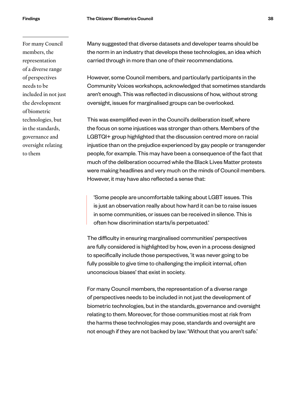For many Council members, the representation of a diverse range of perspectives needs to be included in not just the development of biometric technologies, but in the standards, governance and oversight relating to them

Many suggested that diverse datasets and developer teams should be the norm in an industry that develops these technologies, an idea which carried through in more than one of their recommendations.

However, some Council members, and particularly participants in the Community Voices workshops, acknowledged that sometimes standards aren't enough. This was reflected in discussions of how, without strong oversight, issues for marginalised groups can be overlooked.

This was exemplified even in the Council's deliberation itself, where the focus on some injustices was stronger than others. Members of the LGBTQI+ group highlighted that the discussion centred more on racial injustice than on the prejudice experienced by gay people or transgender people, for example. This may have been a consequence of the fact that much of the deliberation occurred while the Black Lives Matter protests were making headlines and very much on the minds of Council members. However, it may have also reflected a sense that:

'Some people are uncomfortable talking about LGBT issues. This is just an observation really about how hard it can be to raise issues in some communities, or issues can be received in silence. This is often how discrimination starts/is perpetuated.'

The difficulty in ensuring marginalised communities' perspectives are fully considered is highlighted by how, even in a process designed to specifically include those perspectives, 'it was never going to be fully possible to give time to challenging the implicit internal, often unconscious biases' that exist in society.

For many Council members, the representation of a diverse range of perspectives needs to be included in not just the development of biometric technologies, but in the standards, governance and oversight relating to them. Moreover, for those communities most at risk from the harms these technologies may pose, standards and oversight are not enough if they are not backed by law: 'Without that you aren't safe.'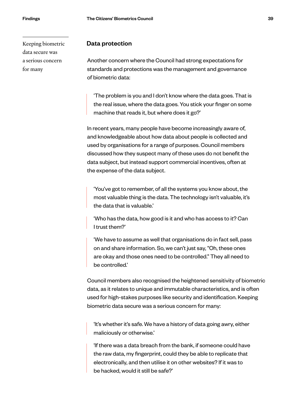Keeping biometric data secure was a serious concern for many

#### Data protection

Another concern where the Council had strong expectations for standards and protections was the management and governance of biometric data:

'The problem is you and I don't know where the data goes. That is the real issue, where the data goes. You stick your finger on some machine that reads it, but where does it go?'

In recent years, many people have become increasingly aware of, and knowledgeable about how data about people is collected and used by organisations for a range of purposes. Council members discussed how they suspect many of these uses do not benefit the data subject, but instead support commercial incentives, often at the expense of the data subject.

'You've got to remember, of all the systems you know about, the most valuable thing is the data. The technology isn't valuable, it's the data that is valuable.'

'Who has the data, how good is it and who has access to it? Can I trust them?'

'We have to assume as well that organisations do in fact sell, pass on and share information. So, we can't just say, "Oh, these ones are okay and those ones need to be controlled." They all need to be controlled.'

Council members also recognised the heightened sensitivity of biometric data, as it relates to unique and immutable characteristics, and is often used for high-stakes purposes like security and identification. Keeping biometric data secure was a serious concern for many:

'It's whether it's safe. We have a history of data going awry, either maliciously or otherwise.'

'If there was a data breach from the bank, if someone could have the raw data, my fingerprint, could they be able to replicate that electronically, and then utilise it on other websites? If it was to be hacked, would it still be safe?'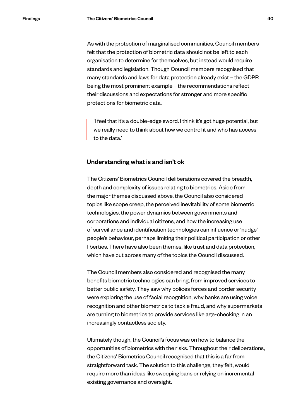As with the protection of marginalised communities, Council members felt that the protection of biometric data should not be left to each organisation to determine for themselves, but instead would require standards and legislation. Though Council members recognised that many standards and laws for data protection already exist – the GDPR being the most prominent example – the recommendations reflect their discussions and expectations for stronger and more specific protections for biometric data.

'I feel that it's a double-edge sword. I think it's got huge potential, but we really need to think about how we control it and who has access to the data.'

#### Understanding what is and isn't ok

The Citizens' Biometrics Council deliberations covered the breadth, depth and complexity of issues relating to biometrics. Aside from the major themes discussed above, the Council also considered topics like scope creep, the perceived inevitability of some biometric technologies, the power dynamics between governments and corporations and individual citizens, and how the increasing use of surveillance and identification technologies can influence or 'nudge' people's behaviour, perhaps limiting their political participation or other liberties. There have also been themes, like trust and data protection, which have cut across many of the topics the Council discussed.

The Council members also considered and recognised the many benefits biometric technologies can bring, from improved services to better public safety. They saw why polices forces and border security were exploring the use of facial recognition, why banks are using voice recognition and other biometrics to tackle fraud, and why supermarkets are turning to biometrics to provide services like age-checking in an increasingly contactless society.

Ultimately though, the Council's focus was on how to balance the opportunities of biometrics with the risks. Throughout their deliberations, the Citizens' Biometrics Council recognised that this is a far from straightforward task. The solution to this challenge, they felt, would require more than ideas like sweeping bans or relying on incremental existing governance and oversight.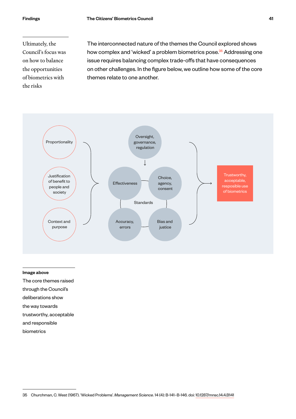Ultimately, the Council's focus was on how to balance the opportunities of biometrics with the risks

The interconnected nature of the themes the Council explored shows how complex and 'wicked' a problem biometrics pose.<sup>35</sup> Addressing one issue requires balancing complex trade-offs that have consequences on other challenges. In the figure below, we outline how some of the core themes relate to one another.



#### Image above

The core themes raised

- through the Council's
- deliberations show
- the way towards

trustworthy, acceptable

- and responsible
- biometrics

<sup>35</sup> Churchman, C. West (1967). 'Wicked Problems'. *Management Science*. 14 (4): B-141–B-146. [doi](https://en.wikipedia.org/wiki/Doi_(identifier)): [10.1287/mnsc.14.4.B141](https://doi.org/10.1287%2Fmnsc.14.4.B141)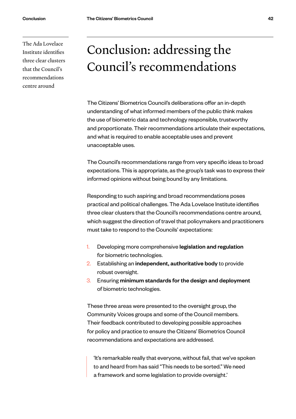<span id="page-42-0"></span>The Ada Lovelace Institute identifies three clear clusters that the Council's recommendations centre around

# Conclusion: addressing the Council's recommendations

The Citizens' Biometrics Council's deliberations offer an in-depth understanding of what informed members of the public think makes the use of biometric data and technology responsible, trustworthy and proportionate. Their recommendations articulate their expectations, and what is required to enable acceptable uses and prevent unacceptable uses.

The Council's recommendations range from very specific ideas to broad expectations. This is appropriate, as the group's task was to express their informed opinions without being bound by any limitations.

Responding to such aspiring and broad recommendations poses practical and political challenges. The Ada Lovelace Institute identifies three clear clusters that the Council's recommendations centre around, which suggest the direction of travel that policymakers and practitioners must take to respond to the Councils' expectations:

- 1. Developing more comprehensive legislation and regulation for biometric technologies.
- 2. Establishing an independent, authoritative body to provide robust oversight.
- 3. Ensuring minimum standards for the design and deployment of biometric technologies.

These three areas were presented to the oversight group, the Community Voices groups and some of the Council members. Their feedback contributed to developing possible approaches for policy and practice to ensure the Citizens' Biometrics Council recommendations and expectations are addressed.

'It's remarkable really that everyone, without fail, that we've spoken to and heard from has said "This needs to be sorted." We need a framework and some legislation to provide oversight.'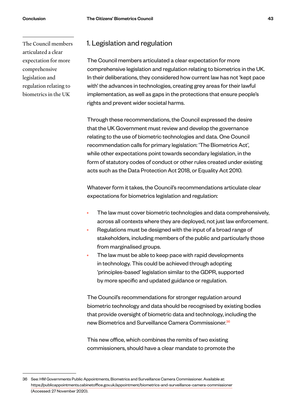The Council members articulated a clear expectation for more comprehensive legislation and regulation relating to biometrics in the UK

#### 1. Legislation and regulation

The Council members articulated a clear expectation for more comprehensive legislation and regulation relating to biometrics in the UK. In their deliberations, they considered how current law has not 'kept pace with' the advances in technologies, creating grey areas for their lawful implementation, as well as gaps in the protections that ensure people's rights and prevent wider societal harms.

Through these recommendations, the Council expressed the desire that the UK Government must review and develop the governance relating to the use of biometric technologies and data. One Council recommendation calls for primary legislation: 'The Biometrics Act', while other expectations point towards secondary legislation, in the form of statutory codes of conduct or other rules created under existing acts such as the Data Protection Act 2018, or Equality Act 2010.

Whatever form it takes, the Council's recommendations articulate clear expectations for biometrics legislation and regulation:

- The law must cover biometric technologies and data comprehensively, across all contexts where they are deployed, not just law enforcement.
- Regulations must be designed with the input of a broad range of stakeholders, including members of the public and particularly those from marginalised groups.
- The law must be able to keep pace with rapid developments in technology. This could be achieved through adopting 'principles-based' legislation similar to the GDPR, supported by more specific and updated guidance or regulation.

The Council's recommendations for stronger regulation around biometric technology and data should be recognised by existing bodies that provide oversight of biometric data and technology, including the new Biometrics and Surveillance Camera Commissioner.<sup>36</sup>

This new office, which combines the remits of two existing commissioners, should have a clear mandate to promote the

<sup>36</sup> See: HM Governments Public Appointments, Biometrics and Surveillance Camera Commissioner. Available at: [https://publicappointments.cabinetoffice.gov.uk/appointment/biometrics-and-surveillance-camera-commissioner](https://publicappointments.cabinetoffice.gov.uk/appointment/biometrics-and-surveillance-camera-commissioner/) (Accessed: 27 November 2020).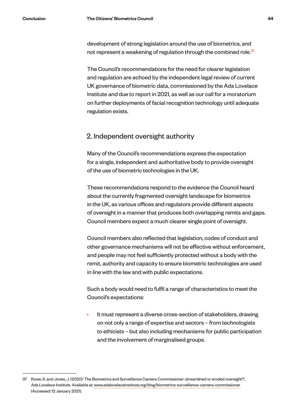development of strong legislation around the use of biometrics, and not represent a weakening of regulation through the combined role.<sup>37</sup>

The Council's recommendations for the need for clearer legislation and regulation are echoed by the independent legal review of current UK governance of biometric data, commissioned by the Ada Lovelace Institute and due to report in 2021, as well as our call for a moratorium on further deployments of facial recognition technology until adequate regulation exists.

#### 2. Independent oversight authority

Many of the Council's recommendations express the expectation for a single, independent and authoritative body to provide oversight of the use of biometric technologies in the UK.

These recommendations respond to the evidence the Council heard about the currently fragmented oversight landscape for biometrics in the UK, as various offices and regulators provide different aspects of oversight in a manner that produces both overlapping remits and gaps. Council members expect a much clearer single point of oversight.

Council members also reflected that legislation, codes of conduct and other governance mechanisms will not be effective without enforcement, and people may not feel sufficiently protected without a body with the remit, authority and capacity to ensure biometric technologies are used in line with the law and with public expectations.

Such a body would need to fulfil a range of characteristics to meet the Council's expectations:

It must represent a diverse cross-section of stakeholders, drawing on not only a range of expertise and sectors – from technologists to ethicists – but also including mechanisms for public participation and the involvement of marginalised groups.

<sup>37</sup> Rowe, S. and Jones, J. (2020) 'The Biometrics and Surveillance Camera Commissioner: streamlined or eroded oversight?', *Ada Lovelace Institute*. Available at: [www.adalovelaceinstitute.org/blog/biometrics-surveillance-camera-commissioner](https://www.adalovelaceinstitute.org/blog/biometrics-surveillance-camera-commissioner/)  (Accessed: 12 January 2021).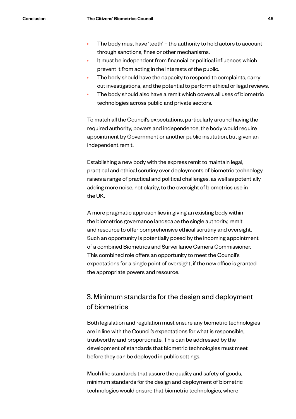- The body must have 'teeth' the authority to hold actors to account through sanctions, fines or other mechanisms.
- It must be independent from financial or political influences which prevent it from acting in the interests of the public.
- The body should have the capacity to respond to complaints, carry out investigations, and the potential to perform ethical or legal reviews.
- The body should also have a remit which covers all uses of biometric technologies across public and private sectors.

To match all the Council's expectations, particularly around having the required authority, powers and independence, the body would require appointment by Government or another public institution, but given an independent remit.

Establishing a new body with the express remit to maintain legal, practical and ethical scrutiny over deployments of biometric technology raises a range of practical and political challenges, as well as potentially adding more noise, not clarity, to the oversight of biometrics use in the UK.

A more pragmatic approach lies in giving an existing body within the biometrics governance landscape the single authority, remit and resource to offer comprehensive ethical scrutiny and oversight. Such an opportunity is potentially posed by the incoming appointment of a combined Biometrics and Surveillance Camera Commissioner. This combined role offers an opportunity to meet the Council's expectations for a single point of oversight, if the new office is granted the appropriate powers and resource.

#### 3. Minimum standards for the design and deployment of biometrics

Both legislation and regulation must ensure any biometric technologies are in line with the Council's expectations for what is responsible, trustworthy and proportionate. This can be addressed by the development of standards that biometric technologies must meet before they can be deployed in public settings.

Much like standards that assure the quality and safety of goods, minimum standards for the design and deployment of biometric technologies would ensure that biometric technologies, where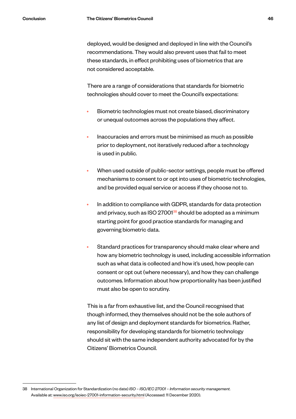deployed, would be designed and deployed in line with the Council's recommendations. They would also prevent uses that fail to meet these standards, in effect prohibiting uses of biometrics that are not considered acceptable.

There are a range of considerations that standards for biometric technologies should cover to meet the Council's expectations:

- Biometric technologies must not create biased, discriminatory or unequal outcomes across the populations they affect.
- Inaccuracies and errors must be minimised as much as possible prior to deployment, not iteratively reduced after a technology is used in public.
- When used outside of public-sector settings, people must be offered mechanisms to consent to or opt into uses of biometric technologies, and be provided equal service or access if they choose not to.
- In addition to compliance with GDPR, standards for data protection and privacy, such as ISO 27001<sup>38</sup> should be adopted as a minimum starting point for good practice standards for managing and governing biometric data.
- Standard practices for transparency should make clear where and how any biometric technology is used, including accessible information such as what data is collected and how it's used, how people can consent or opt out (where necessary), and how they can challenge outcomes. Information about how proportionality has been justified must also be open to scrutiny.

This is a far from exhaustive list, and the Council recognised that though informed, they themselves should not be the sole authors of any list of design and deployment standards for biometrics. Rather, responsibility for developing standards for biometric technology should sit with the same independent authority advocated for by the Citizens' Biometrics Council.

<sup>38</sup> International Organization for Standardization (no date) *ISO – ISO/IEC 27001 – Information security management.* Available at: www.iso.org/isoiec-27001-information-security.html (Accessed: 11 December 2020).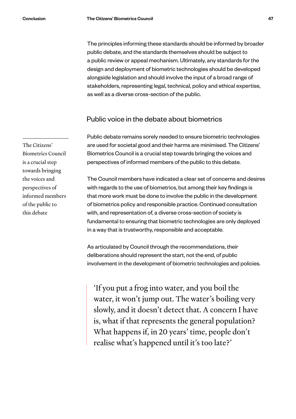The principles informing these standards should be informed by broader public debate, and the standards themselves should be subject to a public review or appeal mechanism. Ultimately, any standards for the design and deployment of biometric technologies should be developed alongside legislation and should involve the input of a broad range of stakeholders, representing legal, technical, policy and ethical expertise, as well as a diverse cross-section of the public.

#### Public voice in the debate about biometrics

Public debate remains sorely needed to ensure biometric technologies are used for societal good and their harms are minimised. The Citizens' Biometrics Council is a crucial step towards bringing the voices and perspectives of informed members of the public to this debate.

The Council members have indicated a clear set of concerns and desires with regards to the use of biometrics, but among their key findings is that more work must be done to involve the public in the development of biometrics policy and responsible practice. Continued consultation with, and representation of, a diverse cross-section of society is fundamental to ensuring that biometric technologies are only deployed in a way that is trustworthy, responsible and acceptable.

As articulated by Council through the recommendations, their deliberations should represent the start, not the end, of public involvement in the development of biometric technologies and policies.

'If you put a frog into water, and you boil the water, it won't jump out. The water's boiling very slowly, and it doesn't detect that. A concern I have is, what if that represents the general population? What happens if, in 20 years' time, people don't realise what's happened until it's too late?'

The Citizens' Biometrics Council is a crucial step towards bringing the voices and perspectives of informed members of the public to this debate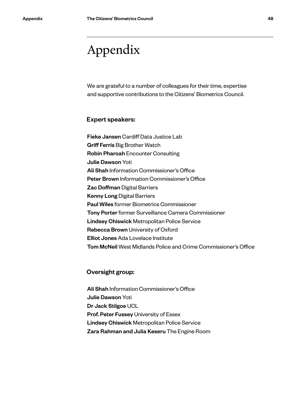## <span id="page-48-0"></span>Appendix

We are grateful to a number of colleagues for their time, expertise and supportive contributions to the Citizens' Biometrics Council.

#### Expert speakers:

Fieke Jansen Cardiff Data Justice Lab Griff Ferris Big Brother Watch Robin Pharoah Encounter Consulting Julie Dawson Yoti Ali Shah Information Commissioner's Office Peter Brown Information Commissioner's Office Zac Doffman Digital Barriers Kenny Long Digital Barriers Paul Wiles former Biometrics Commissioner Tony Porter former Surveillance Camera Commissioner Lindsey Chiswick Metropolitan Police Service Rebecca Brown University of Oxford Elliot Jones Ada Lovelace Institute Tom McNeil West Midlands Police and Crime Commissioner's Office

#### Oversight group:

Ali Shah Information Commissioner's Office Julie Dawson Yoti Dr Jack Stilgoe UCL Prof. Peter Fussey University of Essex Lindsey Chiswick Metropolitan Police Service Zara Rahman and Julia Keseru The Engine Room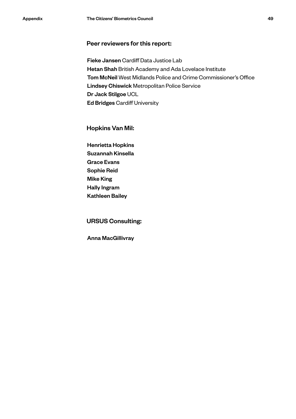#### Peer reviewers for this report:

Fieke Jansen Cardiff Data Justice Lab Hetan Shah British Academy and Ada Lovelace Institute Tom McNeil West Midlands Police and Crime Commissioner's Office Lindsey Chiswick Metropolitan Police Service Dr Jack Stilgoe UCL Ed Bridges Cardiff University

#### Hopkins Van Mil:

Henrietta Hopkins Suzannah Kinsella Grace Evans Sophie Reid Mike King Hally Ingram Kathleen Bailey

#### URSUS Consulting:

Anna MacGillivray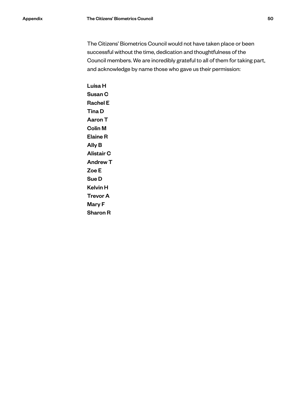The Citizens' Biometrics Council would not have taken place or been successful without the time, dedication and thoughtfulness of the Council members. We are incredibly grateful to all of them for taking part, and acknowledge by name those who gave us their permission:

Luisa H Susan C Rachel E Tina D Aaron T Colin M Elaine R Ally B Alistair C Andrew T Zoe E Sue D Kelvin H Trevor A Mary F Sharon R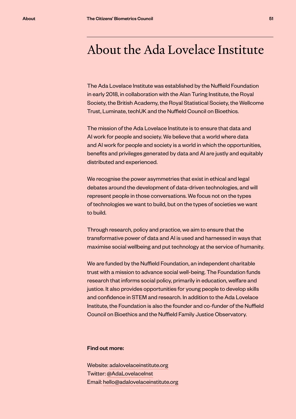### <span id="page-51-0"></span>About the Ada Lovelace Institute

The Ada Lovelace Institute was established by the Nuffield Foundation in early 2018, in collaboration with the Alan Turing Institute, the Royal Society, the British Academy, the Royal Statistical Society, the Wellcome Trust, Luminate, techUK and the Nuffield Council on Bioethics.

The mission of the Ada Lovelace Institute is to ensure that data and AI work for people and society. We believe that a world where data and AI work for people and society is a world in which the opportunities, benefits and privileges generated by data and AI are justly and equitably distributed and experienced.

We recognise the power asymmetries that exist in ethical and legal debates around the development of data-driven technologies, and will represent people in those conversations. We focus not on the types of technologies we want to build, but on the types of societies we want to build.

Through research, policy and practice, we aim to ensure that the transformative power of data and AI is used and harnessed in ways that maximise social wellbeing and put technology at the service of humanity.

We are funded by the Nuffield Foundation, an independent charitable trust with a mission to advance social well-being. The Foundation funds research that informs social policy, primarily in education, welfare and justice. It also provides opportunities for young people to develop skills and confidence in STEM and research. In addition to the Ada Lovelace Institute, the Foundation is also the founder and co-funder of the Nuffield Council on Bioethics and the Nuffield Family Justice Observatory.

#### Find out more:

Website: [adalovelaceinstitute.org](https://adalovelaceinstitute.org/) Twitter: [@AdaLovelaceInst](https://twitter.com/adalovelaceinst) Email: [hello@adalovelaceinstitute.org](mailto:hello%40adalovelaceinstitute.org?subject=)